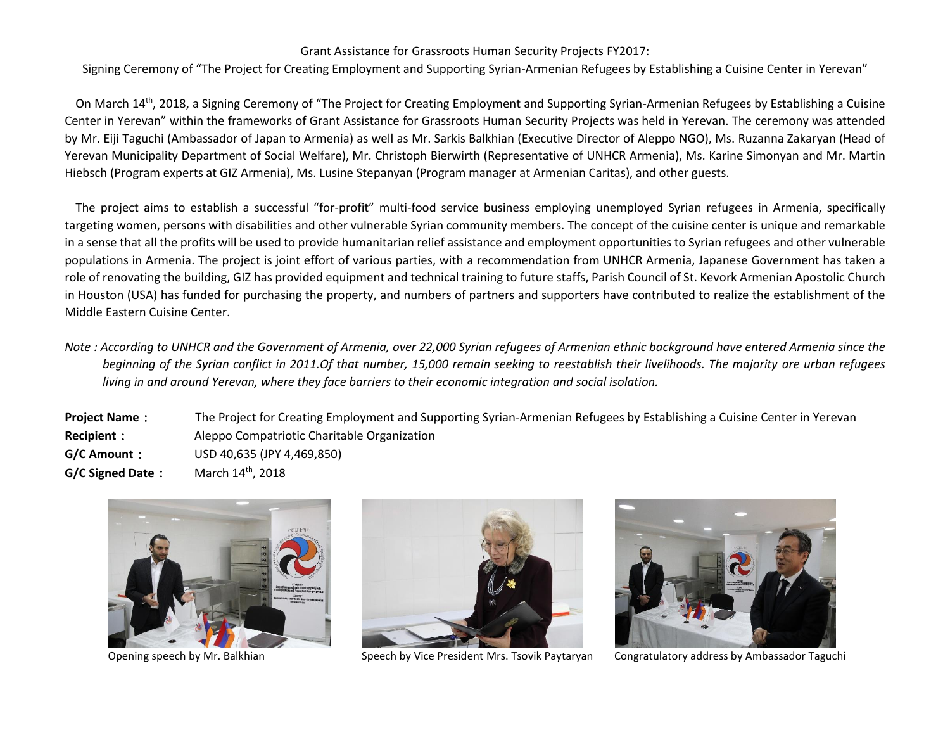## Grant Assistance for Grassroots Human Security Projects FY2017:

Signing Ceremony of "The Project for Creating Employment and Supporting Syrian-Armenian Refugees by Establishing a Cuisine Center in Yerevan"

On March 14<sup>th</sup>, 2018, a Signing Ceremony of "The Project for Creating Employment and Supporting Syrian-Armenian Refugees by Establishing a Cuisine Center in Yerevan" within the frameworks of Grant Assistance for Grassroots Human Security Projects was held in Yerevan. The ceremony was attended by Mr. Eiji Taguchi (Ambassador of Japan to Armenia) as well as Mr. Sarkis Balkhian (Executive Director of Aleppo NGO), Ms. Ruzanna Zakaryan (Head of Yerevan Municipality Department of Social Welfare), Mr. Christoph Bierwirth (Representative of UNHCR Armenia), Ms. Karine Simonyan and Mr. Martin Hiebsch (Program experts at GIZ Armenia), Ms. Lusine Stepanyan (Program manager at Armenian Caritas), and other guests.

The project aims to establish a successful "for-profit" multi-food service business employing unemployed Syrian refugees in Armenia, specifically targeting women, persons with disabilities and other vulnerable Syrian community members. The concept of the cuisine center is unique and remarkable in a sense that all the profits will be used to provide humanitarian relief assistance and employment opportunities to Syrian refugees and other vulnerable populations in Armenia. The project is joint effort of various parties, with a recommendation from UNHCR Armenia, Japanese Government has taken a role of renovating the building, GIZ has provided equipment and technical training to future staffs, Parish Council of St. Kevork Armenian Apostolic Church in Houston (USA) has funded for purchasing the property, and numbers of partners and supporters have contributed to realize the establishment of the Middle Eastern Cuisine Center.

*Note : According to UNHCR and the Government of Armenia, over 22,000 Syrian refugees of Armenian ethnic background have entered Armenia since the beginning of the Syrian conflict in 2011.Of that number, 15,000 remain seeking to reestablish their livelihoods. The majority are urban refugees living in and around Yerevan, where they face barriers to their economic integration and social isolation.*

**Project Name**: The Project for Creating Employment and Supporting Syrian-Armenian Refugees by Establishing a Cuisine Center in Yerevan **Recipient**: Aleppo Compatriotic Charitable Organization **G/C Amount**: USD 40,635 (JPY 4,469,850) **G/C Signed Date:** March 14th, 2018





Opening speech by Mr. Balkhian Speech by Vice President Mrs. Tsovik Paytaryan Congratulatory address by Ambassador Taguchi